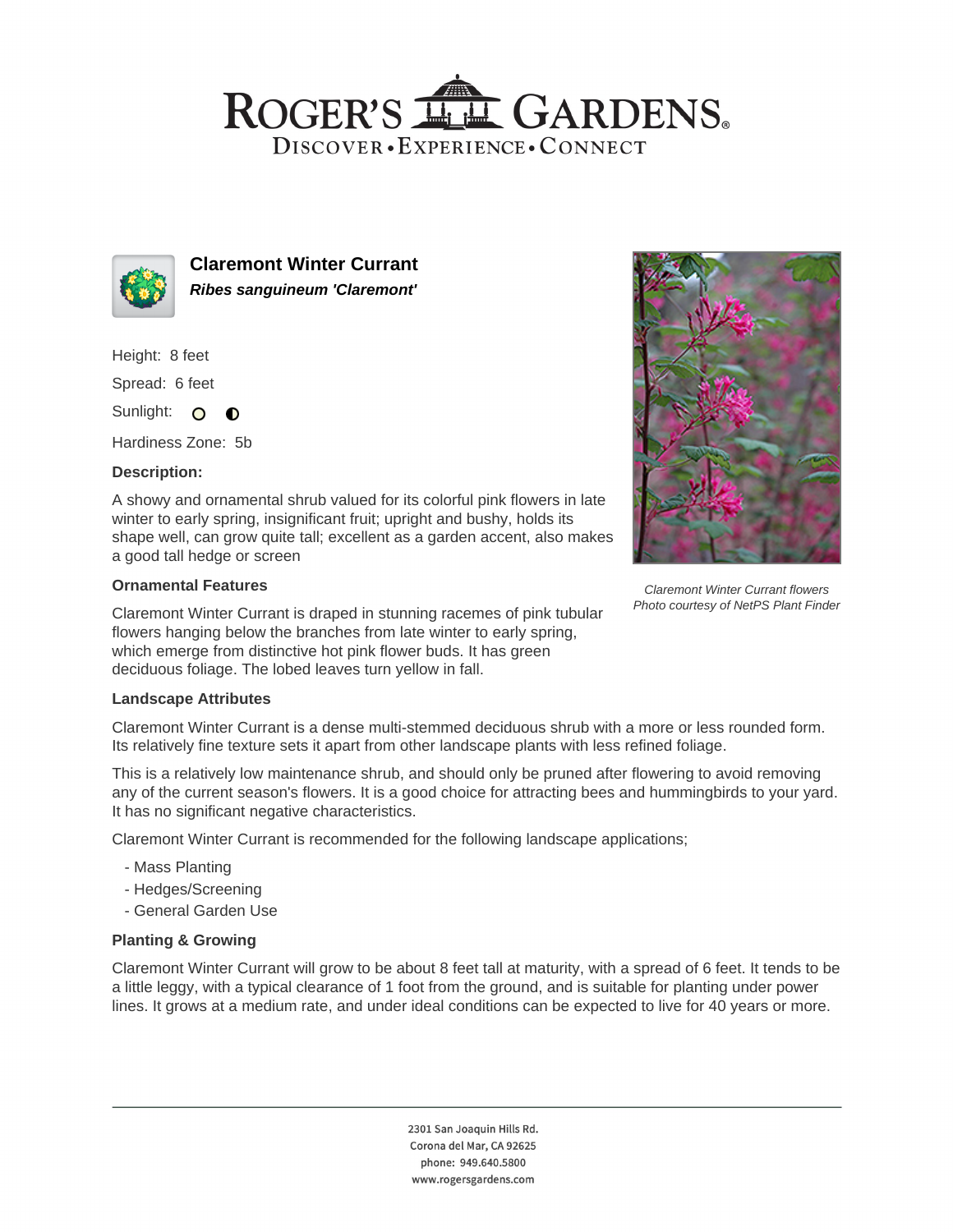# ROGER'S LL GARDENS. DISCOVER · EXPERIENCE · CONNECT



**Claremont Winter Currant Ribes sanguineum 'Claremont'**

Height: 8 feet

Spread: 6 feet

Sunlight: O  $\bullet$ 

Hardiness Zone: 5b

### **Description:**

A showy and ornamental shrub valued for its colorful pink flowers in late winter to early spring, insignificant fruit; upright and bushy, holds its shape well, can grow quite tall; excellent as a garden accent, also makes a good tall hedge or screen

### **Ornamental Features**

Claremont Winter Currant is draped in stunning racemes of pink tubular flowers hanging below the branches from late winter to early spring, which emerge from distinctive hot pink flower buds. It has green deciduous foliage. The lobed leaves turn yellow in fall.

### **Landscape Attributes**

Claremont Winter Currant is a dense multi-stemmed deciduous shrub with a more or less rounded form. Its relatively fine texture sets it apart from other landscape plants with less refined foliage.

This is a relatively low maintenance shrub, and should only be pruned after flowering to avoid removing any of the current season's flowers. It is a good choice for attracting bees and hummingbirds to your yard. It has no significant negative characteristics.

Claremont Winter Currant is recommended for the following landscape applications;

- Mass Planting
- Hedges/Screening
- General Garden Use

## **Planting & Growing**

Claremont Winter Currant will grow to be about 8 feet tall at maturity, with a spread of 6 feet. It tends to be a little leggy, with a typical clearance of 1 foot from the ground, and is suitable for planting under power lines. It grows at a medium rate, and under ideal conditions can be expected to live for 40 years or more.

> 2301 San Joaquin Hills Rd. Corona del Mar, CA 92625 phone: 949.640.5800 www.rogersgardens.com



Claremont Winter Currant flowers Photo courtesy of NetPS Plant Finder